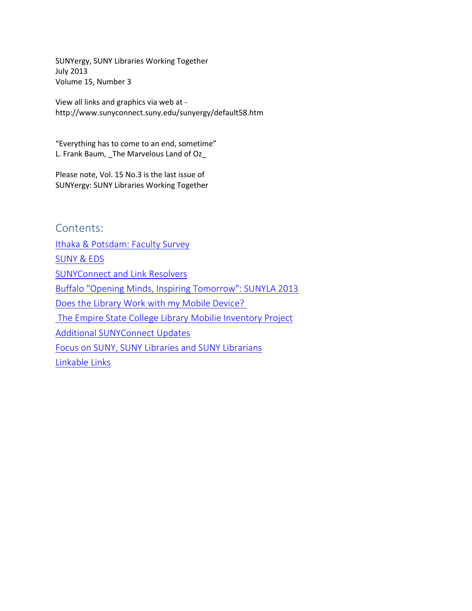SUNYergy, SUNY Libraries Working Together July 2013 Volume 15, Number 3

View all links and graphics via web at http://www.sunyconnect.suny.edu/sunyergy/default58.htm

"Everything has to come to an end, sometime" L. Frank Baum, \_The Marvelous Land of Oz\_

Please note, Vol. 15 No.3 is the last issue of SUNYergy: SUNY Libraries Working Together

Contents: [Ithaka & Potsdam: Faculty Survey](#page-1-0) [SUNY & EDS](#page-4-0) [SUNYConnect and Link Resolvers](#page-6-0) [Buffalo "Opening Minds, Inspiring Tomorrow": SUNYLA 2013](#page-7-0) [Does the Library Work with my Mobile Device?](#page-8-0) [The Empire State College Library Mobilie Inventory Project](#page-8-0) [Additional SUNYConnect Updates](#page-12-0) [Focus on SUNY, SUNY Libraries and SUNY Librarians](#page-13-0) [Linkable Links](#page-15-0)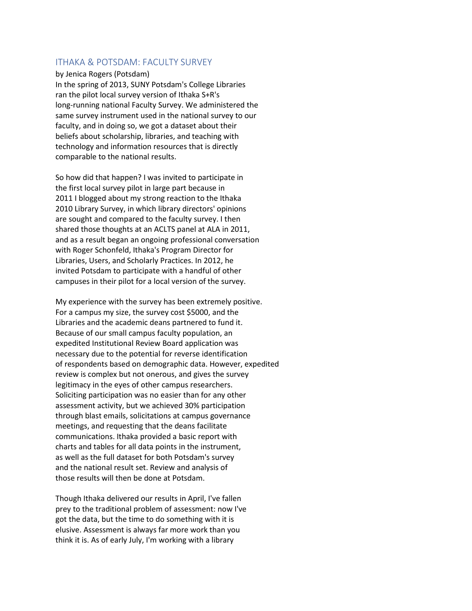## <span id="page-1-0"></span>ITHAKA & POTSDAM: FACULTY SURVEY

### by Jenica Rogers (Potsdam)

In the spring of 2013, SUNY Potsdam's College Libraries ran the pilot local survey version of Ithaka S+R's long-running national Faculty Survey. We administered the same survey instrument used in the national survey to our faculty, and in doing so, we got a dataset about their beliefs about scholarship, libraries, and teaching with technology and information resources that is directly comparable to the national results.

So how did that happen? I was invited to participate in the first local survey pilot in large part because in 2011 I blogged about my strong reaction to the Ithaka 2010 Library Survey, in which library directors' opinions are sought and compared to the faculty survey. I then shared those thoughts at an ACLTS panel at ALA in 2011, and as a result began an ongoing professional conversation with Roger Schonfeld, Ithaka's Program Director for Libraries, Users, and Scholarly Practices. In 2012, he invited Potsdam to participate with a handful of other campuses in their pilot for a local version of the survey.

My experience with the survey has been extremely positive. For a campus my size, the survey cost \$5000, and the Libraries and the academic deans partnered to fund it. Because of our small campus faculty population, an expedited Institutional Review Board application was necessary due to the potential for reverse identification of respondents based on demographic data. However, expedited review is complex but not onerous, and gives the survey legitimacy in the eyes of other campus researchers. Soliciting participation was no easier than for any other assessment activity, but we achieved 30% participation through blast emails, solicitations at campus governance meetings, and requesting that the deans facilitate communications. Ithaka provided a basic report with charts and tables for all data points in the instrument, as well as the full dataset for both Potsdam's survey and the national result set. Review and analysis of those results will then be done at Potsdam.

Though Ithaka delivered our results in April, I've fallen prey to the traditional problem of assessment: now I've got the data, but the time to do something with it is elusive. Assessment is always far more work than you think it is. As of early July, I'm working with a library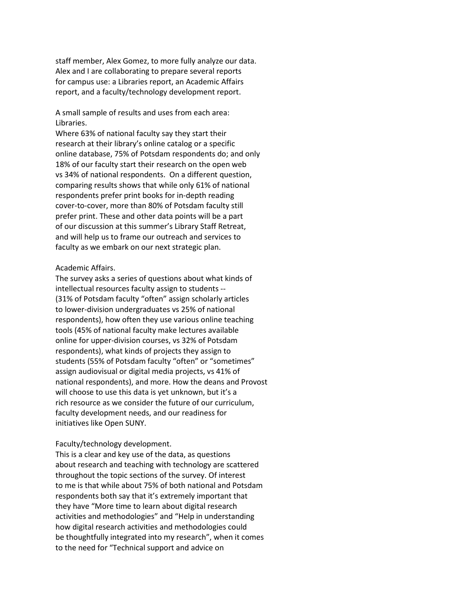staff member, Alex Gomez, to more fully analyze our data. Alex and I are collaborating to prepare several reports for campus use: a Libraries report, an Academic Affairs report, and a faculty/technology development report.

A small sample of results and uses from each area: Libraries.

Where 63% of national faculty say they start their research at their library's online catalog or a specific online database, 75% of Potsdam respondents do; and only 18% of our faculty start their research on the open web vs 34% of national respondents. On a different question, comparing results shows that while only 61% of national respondents prefer print books for in-depth reading cover-to-cover, more than 80% of Potsdam faculty still prefer print. These and other data points will be a part of our discussion at this summer's Library Staff Retreat, and will help us to frame our outreach and services to faculty as we embark on our next strategic plan.

### Academic Affairs.

The survey asks a series of questions about what kinds of intellectual resources faculty assign to students -- (31% of Potsdam faculty "often" assign scholarly articles to lower-division undergraduates vs 25% of national respondents), how often they use various online teaching tools (45% of national faculty make lectures available online for upper-division courses, vs 32% of Potsdam respondents), what kinds of projects they assign to students (55% of Potsdam faculty "often" or "sometimes" assign audiovisual or digital media projects, vs 41% of national respondents), and more. How the deans and Provost will choose to use this data is yet unknown, but it's a rich resource as we consider the future of our curriculum, faculty development needs, and our readiness for initiatives like Open SUNY.

#### Faculty/technology development.

This is a clear and key use of the data, as questions about research and teaching with technology are scattered throughout the topic sections of the survey. Of interest to me is that while about 75% of both national and Potsdam respondents both say that it's extremely important that they have "More time to learn about digital research activities and methodologies" and "Help in understanding how digital research activities and methodologies could be thoughtfully integrated into my research", when it comes to the need for "Technical support and advice on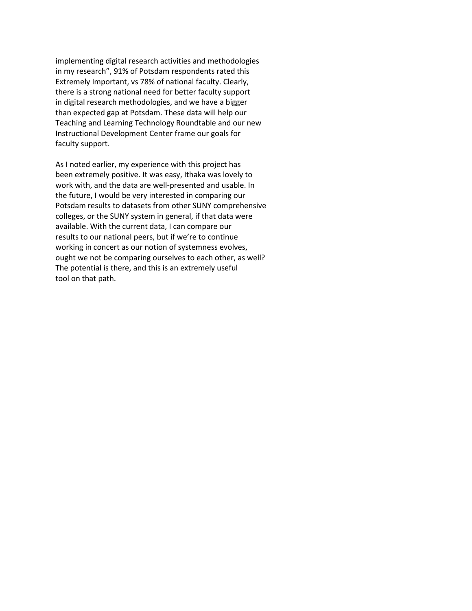implementing digital research activities and methodologies in my research", 91% of Potsdam respondents rated this Extremely Important, vs 78% of national faculty. Clearly, there is a strong national need for better faculty support in digital research methodologies, and we have a bigger than expected gap at Potsdam. These data will help our Teaching and Learning Technology Roundtable and our new Instructional Development Center frame our goals for faculty support.

As I noted earlier, my experience with this project has been extremely positive. It was easy, Ithaka was lovely to work with, and the data are well-presented and usable. In the future, I would be very interested in comparing our Potsdam results to datasets from other SUNY comprehensive colleges, or the SUNY system in general, if that data were available. With the current data, I can compare our results to our national peers, but if we're to continue working in concert as our notion of systemness evolves, ought we not be comparing ourselves to each other, as well? The potential is there, and this is an extremely useful tool on that path.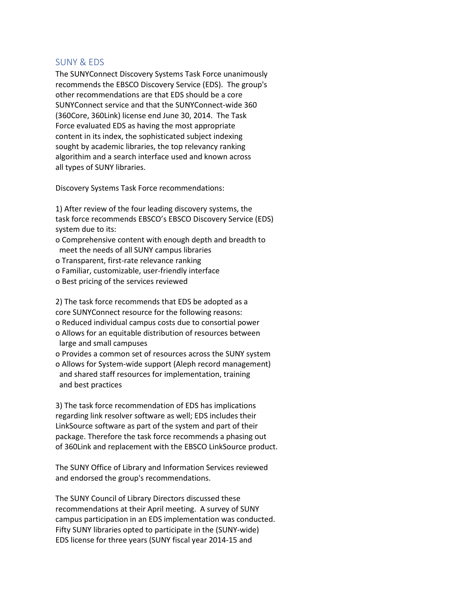## <span id="page-4-0"></span>SUNY & EDS

The SUNYConnect Discovery Systems Task Force unanimously recommends the EBSCO Discovery Service (EDS). The group's other recommendations are that EDS should be a core SUNYConnect service and that the SUNYConnect-wide 360 (360Core, 360Link) license end June 30, 2014. The Task Force evaluated EDS as having the most appropriate content in its index, the sophisticated subject indexing sought by academic libraries, the top relevancy ranking algorithim and a search interface used and known across all types of SUNY libraries.

Discovery Systems Task Force recommendations:

1) After review of the four leading discovery systems, the task force recommends EBSCO's EBSCO Discovery Service (EDS) system due to its:

- o Comprehensive content with enough depth and breadth to meet the needs of all SUNY campus libraries
- o Transparent, first-rate relevance ranking
- o Familiar, customizable, user-friendly interface
- o Best pricing of the services reviewed

2) The task force recommends that EDS be adopted as a core SUNYConnect resource for the following reasons:

- o Reduced individual campus costs due to consortial power
- o Allows for an equitable distribution of resources between large and small campuses

o Provides a common set of resources across the SUNY system o Allows for System-wide support (Aleph record management) and shared staff resources for implementation, training and best practices

3) The task force recommendation of EDS has implications regarding link resolver software as well; EDS includes their LinkSource software as part of the system and part of their package. Therefore the task force recommends a phasing out of 360Link and replacement with the EBSCO LinkSource product.

The SUNY Office of Library and Information Services reviewed and endorsed the group's recommendations.

The SUNY Council of Library Directors discussed these recommendations at their April meeting. A survey of SUNY campus participation in an EDS implementation was conducted. Fifty SUNY libraries opted to participate in the (SUNY-wide) EDS license for three years (SUNY fiscal year 2014-15 and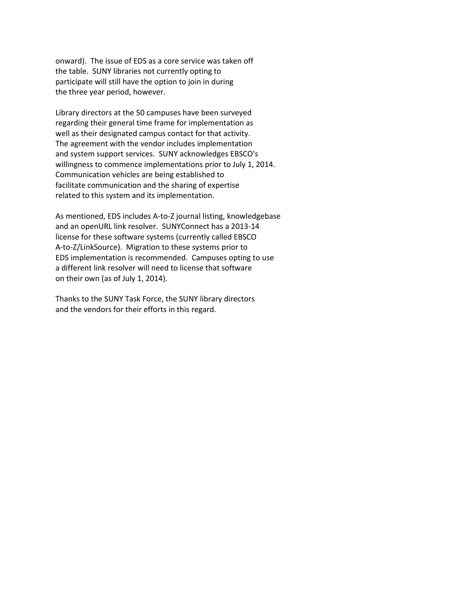onward). The issue of EDS as a core service was taken off the table. SUNY libraries not currently opting to participate will still have the option to join in during the three year period, however.

Library directors at the 50 campuses have been surveyed regarding their general time frame for implementation as well as their designated campus contact for that activity. The agreement with the vendor includes implementation and system support services. SUNY acknowledges EBSCO's willingness to commence implementations prior to July 1, 2014. Communication vehicles are being established to facilitate communication and the sharing of expertise related to this system and its implementation.

As mentioned, EDS includes A-to-Z journal listing, knowledgebase and an openURL link resolver. SUNYConnect has a 2013-14 license for these software systems (currently called EBSCO A-to-Z/LinkSource). Migration to these systems prior to EDS implementation is recommended. Campuses opting to use a different link resolver will need to license that software on their own (as of July 1, 2014).

Thanks to the SUNY Task Force, the SUNY library directors and the vendors for their efforts in this regard.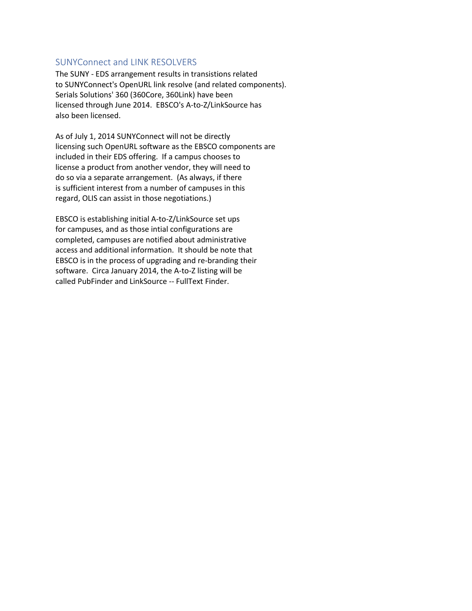## <span id="page-6-0"></span>SUNYConnect and LINK RESOLVERS

The SUNY - EDS arrangement results in transistions related to SUNYConnect's OpenURL link resolve (and related components). Serials Solutions' 360 (360Core, 360Link) have been licensed through June 2014. EBSCO's A-to-Z/LinkSource has also been licensed.

As of July 1, 2014 SUNYConnect will not be directly licensing such OpenURL software as the EBSCO components are included in their EDS offering. If a campus chooses to license a product from another vendor, they will need to do so via a separate arrangement. (As always, if there is sufficient interest from a number of campuses in this regard, OLIS can assist in those negotiations.)

EBSCO is establishing initial A-to-Z/LinkSource set ups for campuses, and as those intial configurations are completed, campuses are notified about administrative access and additional information. It should be note that EBSCO is in the process of upgrading and re-branding their software. Circa January 2014, the A-to-Z listing will be called PubFinder and LinkSource -- FullText Finder.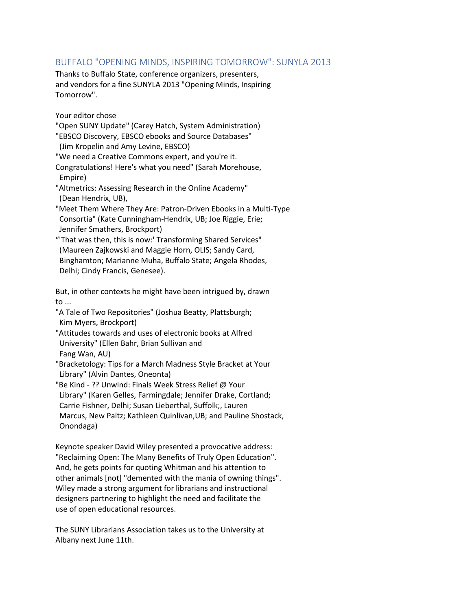# <span id="page-7-0"></span>BUFFALO "OPENING MINDS, INSPIRING TOMORROW": SUNYLA 2013

Thanks to Buffalo State, conference organizers, presenters, and vendors for a fine SUNYLA 2013 "Opening Minds, Inspiring Tomorrow".

Your editor chose

- "Open SUNY Update" (Carey Hatch, System Administration)
- "EBSCO Discovery, EBSCO ebooks and Source Databases"
- (Jim Kropelin and Amy Levine, EBSCO)
- "We need a Creative Commons expert, and you're it.
- Congratulations! Here's what you need" (Sarah Morehouse, Empire)
- "Altmetrics: Assessing Research in the Online Academy" (Dean Hendrix, UB),
- "Meet Them Where They Are: Patron-Driven Ebooks in a Multi-Type Consortia" (Kate Cunningham-Hendrix, UB; Joe Riggie, Erie; Jennifer Smathers, Brockport)
- "'That was then, this is now:' Transforming Shared Services" (Maureen Zajkowski and Maggie Horn, OLIS; Sandy Card, Binghamton; Marianne Muha, Buffalo State; Angela Rhodes, Delhi; Cindy Francis, Genesee).

But, in other contexts he might have been intrigued by, drawn to ...

- "A Tale of Two Repositories" (Joshua Beatty, Plattsburgh; Kim Myers, Brockport)
- "Attitudes towards and uses of electronic books at Alfred University" (Ellen Bahr, Brian Sullivan and Fang Wan, AU)
- "Bracketology: Tips for a March Madness Style Bracket at Your Library" (Alvin Dantes, Oneonta)
- "Be Kind ?? Unwind: Finals Week Stress Relief @ Your Library" (Karen Gelles, Farmingdale; Jennifer Drake, Cortland; Carrie Fishner, Delhi; Susan Lieberthal, Suffolk;, Lauren Marcus, New Paltz; Kathleen Quinlivan,UB; and Pauline Shostack, Onondaga)

Keynote speaker David Wiley presented a provocative address: "Reclaiming Open: The Many Benefits of Truly Open Education". And, he gets points for quoting Whitman and his attention to other animals [not] "demented with the mania of owning things". Wiley made a strong argument for librarians and instructional designers partnering to highlight the need and facilitate the use of open educational resources.

The SUNY Librarians Association takes us to the University at Albany next June 11th.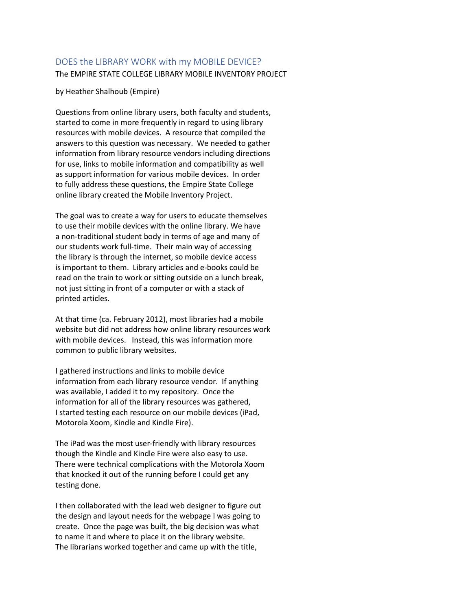# <span id="page-8-0"></span>DOES the LIBRARY WORK with my MOBILE DEVICE? The EMPIRE STATE COLLEGE LIBRARY MOBILE INVENTORY PROJECT

by Heather Shalhoub (Empire)

Questions from online library users, both faculty and students, started to come in more frequently in regard to using library resources with mobile devices. A resource that compiled the answers to this question was necessary. We needed to gather information from library resource vendors including directions for use, links to mobile information and compatibility as well as support information for various mobile devices. In order to fully address these questions, the Empire State College online library created the Mobile Inventory Project.

The goal was to create a way for users to educate themselves to use their mobile devices with the online library. We have a non-traditional student body in terms of age and many of our students work full-time. Their main way of accessing the library is through the internet, so mobile device access is important to them. Library articles and e-books could be read on the train to work or sitting outside on a lunch break, not just sitting in front of a computer or with a stack of printed articles.

At that time (ca. February 2012), most libraries had a mobile website but did not address how online library resources work with mobile devices. Instead, this was information more common to public library websites.

I gathered instructions and links to mobile device information from each library resource vendor. If anything was available, I added it to my repository. Once the information for all of the library resources was gathered, I started testing each resource on our mobile devices (iPad, Motorola Xoom, Kindle and Kindle Fire).

The iPad was the most user-friendly with library resources though the Kindle and Kindle Fire were also easy to use. There were technical complications with the Motorola Xoom that knocked it out of the running before I could get any testing done.

I then collaborated with the lead web designer to figure out the design and layout needs for the webpage I was going to create. Once the page was built, the big decision was what to name it and where to place it on the library website. The librarians worked together and came up with the title,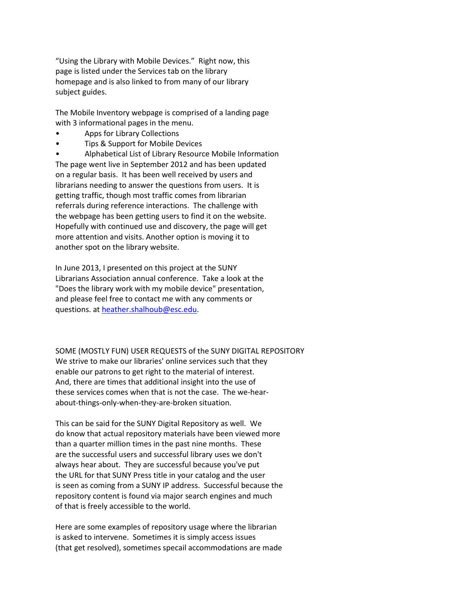"Using the Library with Mobile Devices." Right now, this page is listed under the Services tab on the library homepage and is also linked to from many of our library subject guides.

The Mobile Inventory webpage is comprised of a landing page with 3 informational pages in the menu.

- Apps for Library Collections
- Tips & Support for Mobile Devices

• Alphabetical List of Library Resource Mobile Information The page went live in September 2012 and has been updated on a regular basis. It has been well received by users and librarians needing to answer the questions from users. It is getting traffic, though most traffic comes from librarian referrals during reference interactions. The challenge with the webpage has been getting users to find it on the website. Hopefully with continued use and discovery, the page will get more attention and visits. Another option is moving it to another spot on the library website.

In June 2013, I presented on this project at the SUNY Librarians Association annual conference. Take a look at the "Does the library work with my mobile device" presentation, and please feel free to contact me with any comments or questions. at [heather.shalhoub@esc.edu.](mailto:heather.shalhoub@esc.edu)

SOME (MOSTLY FUN) USER REQUESTS of the SUNY DIGITAL REPOSITORY We strive to make our libraries' online services such that they enable our patrons to get right to the material of interest. And, there are times that additional insight into the use of these services comes when that is not the case. The we-hearabout-things-only-when-they-are-broken situation.

This can be said for the SUNY Digital Repository as well. We do know that actual repository materials have been viewed more than a quarter million times in the past nine months. These are the successful users and successful library uses we don't always hear about. They are successful because you've put the URL for that SUNY Press title in your catalog and the user is seen as coming from a SUNY IP address. Successful because the repository content is found via major search engines and much of that is freely accessible to the world.

Here are some examples of repository usage where the librarian is asked to intervene. Sometimes it is simply access issues (that get resolved), sometimes specail accommodations are made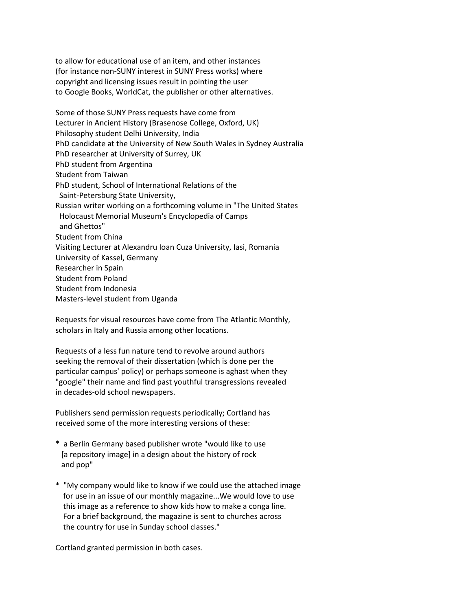to allow for educational use of an item, and other instances (for instance non-SUNY interest in SUNY Press works) where copyright and licensing issues result in pointing the user to Google Books, WorldCat, the publisher or other alternatives.

Some of those SUNY Press requests have come from Lecturer in Ancient History (Brasenose College, Oxford, UK) Philosophy student Delhi University, India PhD candidate at the University of New South Wales in Sydney Australia PhD researcher at University of Surrey, UK PhD student from Argentina Student from Taiwan PhD student, School of International Relations of the Saint-Petersburg State University, Russian writer working on a forthcoming volume in "The United States Holocaust Memorial Museum's Encyclopedia of Camps and Ghettos" Student from China Visiting Lecturer at Alexandru Ioan Cuza University, Iasi, Romania University of Kassel, Germany Researcher in Spain Student from Poland Student from Indonesia Masters-level student from Uganda

Requests for visual resources have come from The Atlantic Monthly, scholars in Italy and Russia among other locations.

Requests of a less fun nature tend to revolve around authors seeking the removal of their dissertation (which is done per the particular campus' policy) or perhaps someone is aghast when they "google" their name and find past youthful transgressions revealed in decades-old school newspapers.

Publishers send permission requests periodically; Cortland has received some of the more interesting versions of these:

- \* a Berlin Germany based publisher wrote "would like to use [a repository image] in a design about the history of rock and pop"
- \* "My company would like to know if we could use the attached image for use in an issue of our monthly magazine...We would love to use this image as a reference to show kids how to make a conga line. For a brief background, the magazine is sent to churches across the country for use in Sunday school classes."

Cortland granted permission in both cases.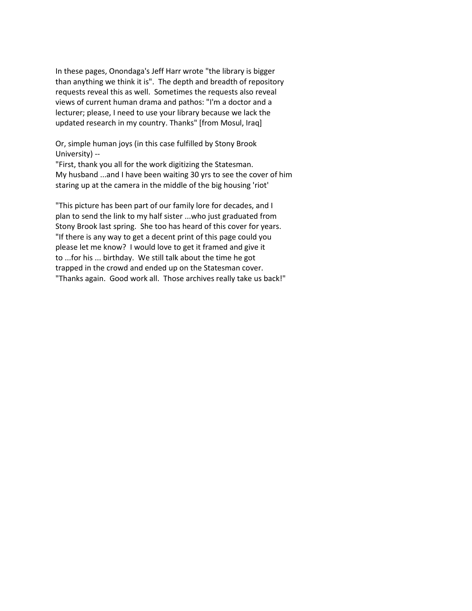In these pages, Onondaga's Jeff Harr wrote "the library is bigger than anything we think it is". The depth and breadth of repository requests reveal this as well. Sometimes the requests also reveal views of current human drama and pathos: "I'm a doctor and a lecturer; please, I need to use your library because we lack the updated research in my country. Thanks" [from Mosul, Iraq]

Or, simple human joys (in this case fulfilled by Stony Brook University) --

"First, thank you all for the work digitizing the Statesman. My husband ...and I have been waiting 30 yrs to see the cover of him staring up at the camera in the middle of the big housing 'riot'

"This picture has been part of our family lore for decades, and I plan to send the link to my half sister ...who just graduated from Stony Brook last spring. She too has heard of this cover for years. "If there is any way to get a decent print of this page could you please let me know? I would love to get it framed and give it to ...for his ... birthday. We still talk about the time he got trapped in the crowd and ended up on the Statesman cover. "Thanks again. Good work all. Those archives really take us back!"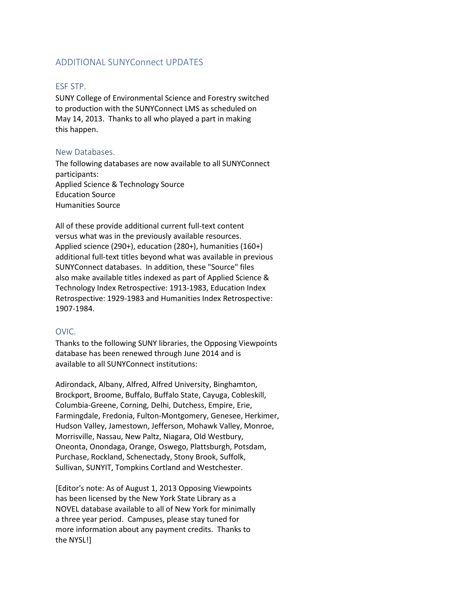# <span id="page-12-0"></span>ADDITIONAL SUNYConnect UPDATES

## ESF STP.

SUNY College of Environmental Science and Forestry switched to production with the SUNYConnect LMS as scheduled on May 14, 2013. Thanks to all who played a part in making this happen.

### New Databases.

The following databases are now available to all SUNYConnect participants: Applied Science & Technology Source Education Source Humanities Source

All of these provide additional current full-text content versus what was in the previously available resources. Applied science (290+), education (280+), humanities (160+) additional full-text titles beyond what was available in previous SUNYConnect databases. In addition, these "Source" files also make available titles indexed as part of Applied Science & Technology Index Retrospective: 1913-1983, Education Index Retrospective: 1929-1983 and Humanities Index Retrospective: 1907-1984.

## OVIC.

Thanks to the following SUNY libraries, the Opposing Viewpoints database has been renewed through June 2014 and is available to all SUNYConnect institutions:

Adirondack, Albany, Alfred, Alfred University, Binghamton, Brockport, Broome, Buffalo, Buffalo State, Cayuga, Cobleskill, Columbia-Greene, Corning, Delhi, Dutchess, Empire, Erie, Farmingdale, Fredonia, Fulton-Montgomery, Genesee, Herkimer, Hudson Valley, Jamestown, Jefferson, Mohawk Valley, Monroe, Morrisville, Nassau, New Paltz, Niagara, Old Westbury, Oneonta, Onondaga, Orange, Oswego, Plattsburgh, Potsdam, Purchase, Rockland, Schenectady, Stony Brook, Suffolk, Sullivan, SUNYIT, Tompkins Cortland and Westchester.

[Editor's note: As of August 1, 2013 Opposing Viewpoints has been licensed by the New York State Library as a NOVEL database available to all of New York for minimally a three year period. Campuses, please stay tuned for more information about any payment credits. Thanks to the NYSL!]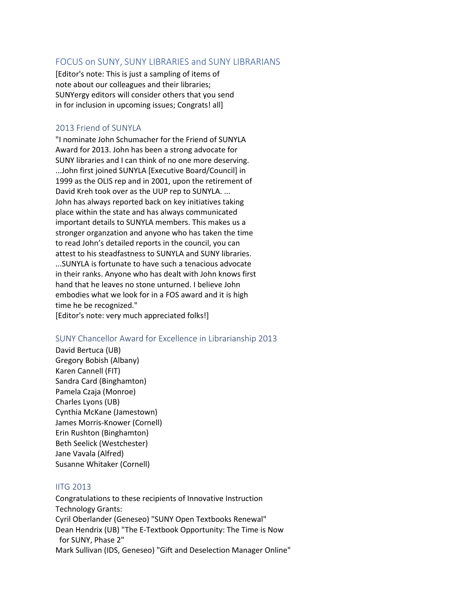## <span id="page-13-0"></span>FOCUS on SUNY, SUNY LIBRARIES and SUNY LIBRARIANS

[Editor's note: This is just a sampling of items of note about our colleagues and their libraries; SUNYergy editors will consider others that you send in for inclusion in upcoming issues; Congrats! all]

## 2013 Friend of SUNYLA

"I nominate John Schumacher for the Friend of SUNYLA Award for 2013. John has been a strong advocate for SUNY libraries and I can think of no one more deserving. ...John first joined SUNYLA [Executive Board/Council] in 1999 as the OLIS rep and in 2001, upon the retirement of David Kreh took over as the UUP rep to SUNYLA. ... John has always reported back on key initiatives taking place within the state and has always communicated important details to SUNYLA members. This makes us a stronger organzation and anyone who has taken the time to read John's detailed reports in the council, you can attest to his steadfastness to SUNYLA and SUNY libraries. ...SUNYLA is fortunate to have such a tenacious advocate in their ranks. Anyone who has dealt with John knows first hand that he leaves no stone unturned. I believe John embodies what we look for in a FOS award and it is high time he be recognized." [Editor's note: very much appreciated folks!]

## SUNY Chancellor Award for Excellence in Librarianship 2013

David Bertuca (UB) Gregory Bobish (Albany) Karen Cannell (FIT) Sandra Card (Binghamton) Pamela Czaja (Monroe) Charles Lyons (UB) Cynthia McKane (Jamestown) James Morris-Knower (Cornell) Erin Rushton (Binghamton) Beth Seelick (Westchester) Jane Vavala (Alfred) Susanne Whitaker (Cornell)

## IITG 2013

Congratulations to these recipients of Innovative Instruction Technology Grants: Cyril Oberlander (Geneseo) "SUNY Open Textbooks Renewal" Dean Hendrix (UB) "The E-Textbook Opportunity: The Time is Now for SUNY, Phase 2" Mark Sullivan (IDS, Geneseo) "Gift and Deselection Manager Online"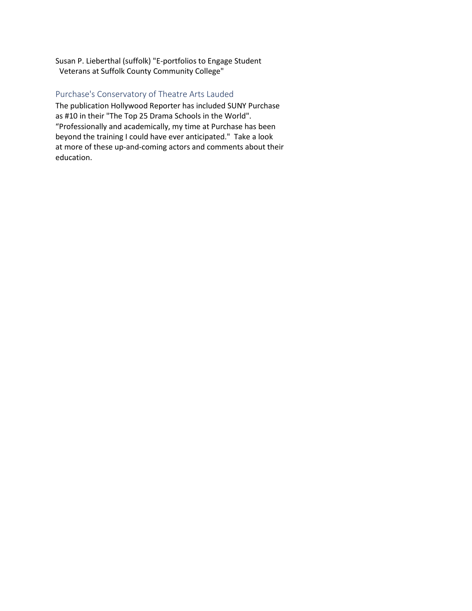Susan P. Lieberthal (suffolk) "E-portfolios to Engage Student Veterans at Suffolk County Community College"

## Purchase's Conservatory of Theatre Arts Lauded

The publication Hollywood Reporter has included SUNY Purchase as #10 in their "The Top 25 Drama Schools in the World". "Professionally and academically, my time at Purchase has been beyond the training I could have ever anticipated." Take a look at more of these up-and-coming actors and comments about their education.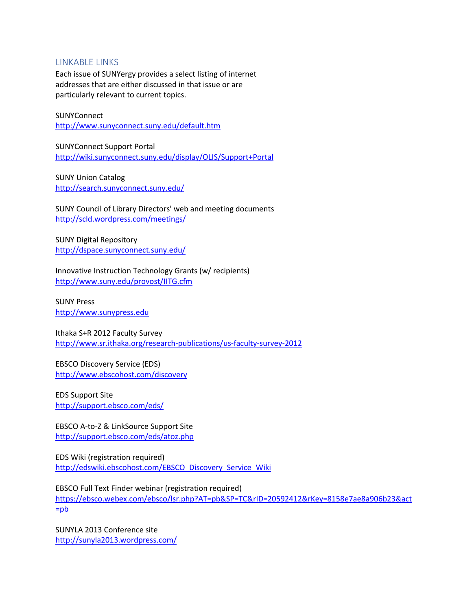## <span id="page-15-0"></span>LINKABLE LINKS

Each issue of SUNYergy provides a select listing of internet addresses that are either discussed in that issue or are particularly relevant to current topics.

### **SUNYConnect** <http://www.sunyconnect.suny.edu/default.htm>

SUNYConnect Support Portal <http://wiki.sunyconnect.suny.edu/display/OLIS/Support+Portal>

SUNY Union Catalog <http://search.sunyconnect.suny.edu/>

SUNY Council of Library Directors' web and meeting documents <http://scld.wordpress.com/meetings/>

SUNY Digital Repository <http://dspace.sunyconnect.suny.edu/>

Innovative Instruction Technology Grants (w/ recipients) <http://www.suny.edu/provost/IITG.cfm>

SUNY Press [http://www.sunypress.edu](http://www.sunypress.edu/)

Ithaka S+R 2012 Faculty Survey <http://www.sr.ithaka.org/research-publications/us-faculty-survey-2012>

EBSCO Discovery Service (EDS) <http://www.ebscohost.com/discovery>

EDS Support Site <http://support.ebsco.com/eds/>

EBSCO A-to-Z & LinkSource Support Site <http://support.ebsco.com/eds/atoz.php>

EDS Wiki (registration required) [http://edswiki.ebscohost.com/EBSCO\\_Discovery\\_Service\\_Wiki](http://edswiki.ebscohost.com/EBSCO_Discovery_Service_Wiki)

EBSCO Full Text Finder webinar (registration required) [https://ebsco.webex.com/ebsco/lsr.php?AT=pb&SP=TC&rID=20592412&rKey=8158e7ae8a906b23&act](https://ebsco.webex.com/ebsco/lsr.php?AT=pb&SP=TC&rID=20592412&rKey=8158e7ae8a906b23&act=pb) [=pb](https://ebsco.webex.com/ebsco/lsr.php?AT=pb&SP=TC&rID=20592412&rKey=8158e7ae8a906b23&act=pb)

SUNYLA 2013 Conference site <http://sunyla2013.wordpress.com/>